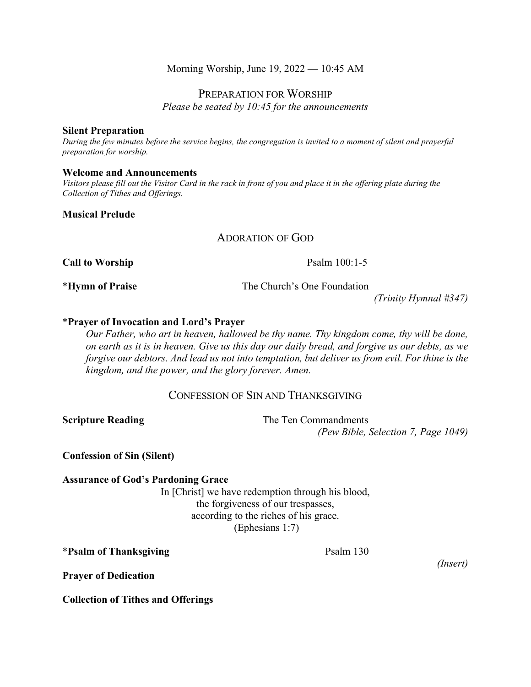#### Morning Worship, June 19, 2022 — 10:45 AM

PREPARATION FOR WORSHIP

*Please be seated by 10:45 for the announcements*

#### **Silent Preparation**

*During the few minutes before the service begins, the congregation is invited to a moment of silent and prayerful preparation for worship.*

#### **Welcome and Announcements**

*Visitors please fill out the Visitor Card in the rack in front of you and place it in the offering plate during the Collection of Tithes and Offerings.*

#### **Musical Prelude**

### ADORATION OF GOD

**Call to Worship**  Psalm 100:1-5

\***Hymn of Praise** The Church's One Foundation

*(Trinity Hymnal #347)*

#### \***Prayer of Invocation and Lord's Prayer**

*Our Father, who art in heaven, hallowed be thy name. Thy kingdom come, thy will be done, on earth as it is in heaven. Give us this day our daily bread, and forgive us our debts, as we forgive our debtors. And lead us not into temptation, but deliver us from evil. For thine is the kingdom, and the power, and the glory forever. Amen.*

#### CONFESSION OF SIN AND THANKSGIVING

**Scripture Reading** The Ten Commandments *(Pew Bible, Selection 7, Page 1049)*

**Confession of Sin (Silent)**

#### **Assurance of God's Pardoning Grace**

In [Christ] we have redemption through his blood, the forgiveness of our trespasses, according to the riches of his grace. (Ephesians 1:7)

\***Psalm of Thanksgiving** Psalm 130

*(Insert)*

**Prayer of Dedication**

**Collection of Tithes and Offerings**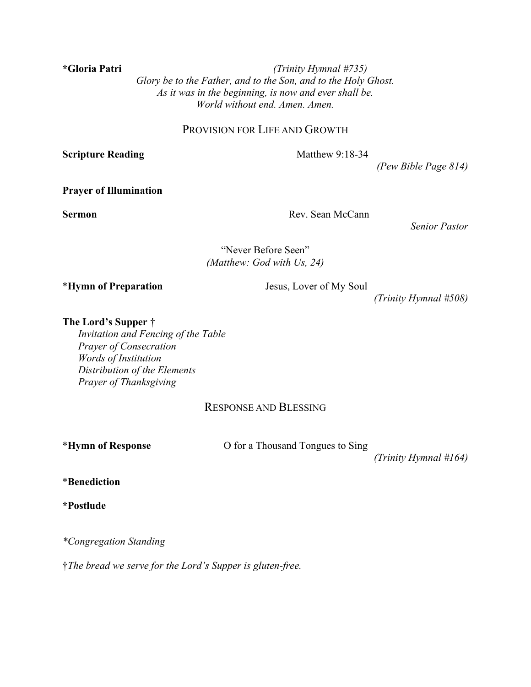**\*Gloria Patri** *(Trinity Hymnal #735) Glory be to the Father, and to the Son, and to the Holy Ghost. As it was in the beginning, is now and ever shall be. World without end. Amen. Amen.*

#### PROVISION FOR LIFE AND GROWTH

**Scripture Reading** Matthew 9:18-34

*(Pew Bible Page 814)*

#### **Prayer of Illumination**

**Sermon** Rev. Sean McCann

*Senior Pastor*

"Never Before Seen" *(Matthew: God with Us, 24)*

\***Hymn of Preparation** Jesus, Lover of My Soul

*(Trinity Hymnal #508)*

**The Lord's Supper** †

*Invitation and Fencing of the Table Prayer of Consecration Words of Institution Distribution of the Elements Prayer of Thanksgiving*

## RESPONSE AND BLESSING

\***Hymn of Response** O for a Thousand Tongues to Sing

*(Trinity Hymnal #164)*

\***Benediction**

**\*Postlude**

*\*Congregation Standing*

†*The bread we serve for the Lord's Supper is gluten-free.*